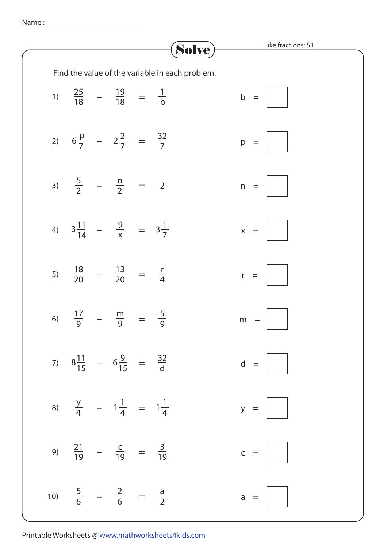Name :

|    |                                                        |  |  | Solve)                                          |   |       | Like fractions: S1 |
|----|--------------------------------------------------------|--|--|-------------------------------------------------|---|-------|--------------------|
|    |                                                        |  |  | Find the value of the variable in each problem. |   |       |                    |
|    | 1) $\frac{25}{18}$ – $\frac{19}{18}$ = $\frac{1}{b}$   |  |  |                                                 |   | $b =$ |                    |
|    | 2) $6\frac{p}{7}$ - $2\frac{2}{7}$ = $\frac{32}{7}$    |  |  |                                                 |   | $p =$ |                    |
|    | 3) $\frac{5}{2}$ – $\frac{n}{2}$ = 2                   |  |  |                                                 |   | $n =$ |                    |
|    | 4) $3\frac{11}{14} - \frac{9}{x} = 3\frac{1}{7}$       |  |  |                                                 |   | $x =$ |                    |
|    | 5) $\frac{18}{20}$ – $\frac{13}{20}$ = $\frac{r}{4}$   |  |  |                                                 |   | $r =$ |                    |
| 6) | $\frac{17}{9}$ – $\frac{m}{9}$ = $\frac{5}{9}$         |  |  |                                                 | m | $=$   |                    |
|    | 7) $8\frac{11}{15}$ - $6\frac{9}{15}$ = $\frac{32}{d}$ |  |  |                                                 |   |       | $d =$              |
|    | 8) $\frac{y}{4}$ - $1\frac{1}{4}$ = $1\frac{1}{4}$     |  |  |                                                 |   |       | $y =$              |
|    | 9) $\frac{21}{19}$ – $\frac{c}{19}$ = $\frac{3}{19}$   |  |  |                                                 |   |       | $c =    $          |
|    | 10) $\frac{5}{6}$ – $\frac{2}{6}$ = $\frac{a}{2}$      |  |  |                                                 |   |       | $a =    $          |

Printable Worksheets @ www.mathworksheets4kids.com